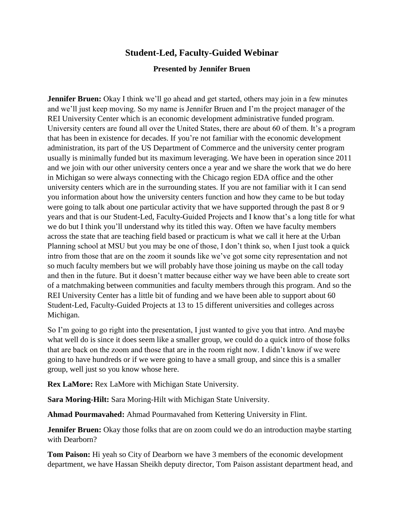# **Student-Led, Faculty-Guided Webinar**

## **Presented by Jennifer Bruen**

**Jennifer Bruen:** Okay I think we'll go ahead and get started, others may join in a few minutes and we'll just keep moving. So my name is Jennifer Bruen and I'm the project manager of the REI University Center which is an economic development administrative funded program. University centers are found all over the United States, there are about 60 of them. It's a program that has been in existence for decades. If you're not familiar with the economic development administration, its part of the US Department of Commerce and the university center program usually is minimally funded but its maximum leveraging. We have been in operation since 2011 and we join with our other university centers once a year and we share the work that we do here in Michigan so were always connecting with the Chicago region EDA office and the other university centers which are in the surrounding states. If you are not familiar with it I can send you information about how the university centers function and how they came to be but today were going to talk about one particular activity that we have supported through the past 8 or 9 years and that is our Student-Led, Faculty-Guided Projects and I know that's a long title for what we do but I think you'll understand why its titled this way. Often we have faculty members across the state that are teaching field based or practicum is what we call it here at the Urban Planning school at MSU but you may be one of those, I don't think so, when I just took a quick intro from those that are on the zoom it sounds like we've got some city representation and not so much faculty members but we will probably have those joining us maybe on the call today and then in the future. But it doesn't matter because either way we have been able to create sort of a matchmaking between communities and faculty members through this program. And so the REI University Center has a little bit of funding and we have been able to support about 60 Student-Led, Faculty-Guided Projects at 13 to 15 different universities and colleges across Michigan.

So I'm going to go right into the presentation, I just wanted to give you that intro. And maybe what well do is since it does seem like a smaller group, we could do a quick intro of those folks that are back on the zoom and those that are in the room right now. I didn't know if we were going to have hundreds or if we were going to have a small group, and since this is a smaller group, well just so you know whose here.

**Rex LaMore:** Rex LaMore with Michigan State University.

**Sara Moring-Hilt:** Sara Moring-Hilt with Michigan State University.

**Ahmad Pourmavahed:** Ahmad Pourmavahed from Kettering University in Flint.

**Jennifer Bruen:** Okay those folks that are on zoom could we do an introduction maybe starting with Dearborn?

**Tom Paison:** Hi yeah so City of Dearborn we have 3 members of the economic development department, we have Hassan Sheikh deputy director, Tom Paison assistant department head, and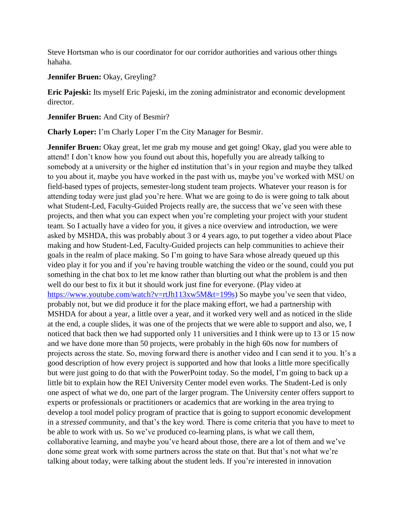Steve Hortsman who is our coordinator for our corridor authorities and various other things hahaha.

### **Jennifer Bruen:** Okay, Greyling?

**Eric Pajeski:** Its myself Eric Pajeski, im the zoning administrator and economic development director.

### **Jennifer Bruen:** And City of Besmir?

**Charly Loper:** I'm Charly Loper I'm the City Manager for Besmir.

**Jennifer Bruen:** Okay great, let me grab my mouse and get going! Okay, glad you were able to attend! I don't know how you found out about this, hopefully you are already talking to somebody at a university or the higher ed institution that's in your region and maybe they talked to you about it, maybe you have worked in the past with us, maybe you've worked with MSU on field-based types of projects, semester-long student team projects. Whatever your reason is for attending today were just glad you're here. What we are going to do is were going to talk about what Student-Led, Faculty-Guided Projects really are, the success that we've seen with these projects, and then what you can expect when you're completing your project with your student team. So I actually have a video for you, it gives a nice overview and introduction, we were asked by MSHDA, this was probably about 3 or 4 years ago, to put together a video about Place making and how Student-Led, Faculty-Guided projects can help communities to achieve their goals in the realm of place making. So I'm going to have Sara whose already queued up this video play it for you and if you're having trouble watching the video or the sound, could you put something in the chat box to let me know rather than blurting out what the problem is and then well do our best to fix it but it should work just fine for everyone. (Play video at [https://www.youtube.com/watch?v=rtJh113xw5M&t=199s\)](https://www.youtube.com/watch?v=rtJh113xw5M&t=199s) So maybe you've seen that video, probably not, but we did produce it for the place making effort, we had a partnership with MSHDA for about a year, a little over a year, and it worked very well and as noticed in the slide at the end, a couple slides, it was one of the projects that we were able to support and also, we, I noticed that back then we had supported only 11 universities and I think were up to 13 or 15 now and we have done more than 50 projects, were probably in the high 60s now for numbers of projects across the state. So, moving forward there is another video and I can send it to you. It's a good description of how every project is supported and how that looks a little more specifically but were just going to do that with the PowerPoint today. So the model, I'm going to back up a little bit to explain how the REI University Center model even works. The Student-Led is only one aspect of what we do, one part of the larger program. The University center offers support to experts or professionals or practitioners or academics that are working in the area trying to develop a tool model policy program of practice that is going to support economic development in a *stressed* community, and that's the key word. There is come criteria that you have to meet to be able to work with us. So we've produced co-learning plans, is what we call them, collaborative learning, and maybe you've heard about those, there are a lot of them and we've done some great work with some partners across the state on that. But that's not what we're talking about today, were talking about the student leds. If you're interested in innovation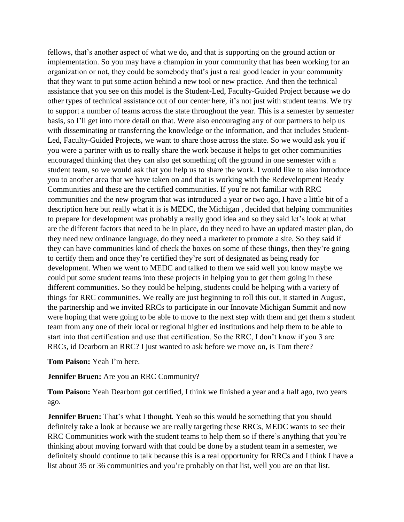fellows, that's another aspect of what we do, and that is supporting on the ground action or implementation. So you may have a champion in your community that has been working for an organization or not, they could be somebody that's just a real good leader in your community that they want to put some action behind a new tool or new practice. And then the technical assistance that you see on this model is the Student-Led, Faculty-Guided Project because we do other types of technical assistance out of our center here, it's not just with student teams. We try to support a number of teams across the state throughout the year. This is a semester by semester basis, so I'll get into more detail on that. Were also encouraging any of our partners to help us with disseminating or transferring the knowledge or the information, and that includes Student-Led, Faculty-Guided Projects, we want to share those across the state. So we would ask you if you were a partner with us to really share the work because it helps to get other communities encouraged thinking that they can also get something off the ground in one semester with a student team, so we would ask that you help us to share the work. I would like to also introduce you to another area that we have taken on and that is working with the Redevelopment Ready Communities and these are the certified communities. If you're not familiar with RRC communities and the new program that was introduced a year or two ago, I have a little bit of a description here but really what it is is MEDC, the Michigan , decided that helping communities to prepare for development was probably a really good idea and so they said let's look at what are the different factors that need to be in place, do they need to have an updated master plan, do they need new ordinance language, do they need a marketer to promote a site. So they said if they can have communities kind of check the boxes on some of these things, then they're going to certify them and once they're certified they're sort of designated as being ready for development. When we went to MEDC and talked to them we said well you know maybe we could put some student teams into these projects in helping you to get them going in these different communities. So they could be helping, students could be helping with a variety of things for RRC communities. We really are just beginning to roll this out, it started in August, the partnership and we invited RRCs to participate in our Innovate Michigan Summit and now were hoping that were going to be able to move to the next step with them and get them s student team from any one of their local or regional higher ed institutions and help them to be able to start into that certification and use that certification. So the RRC, I don't know if you 3 are RRCs, id Dearborn an RRC? I just wanted to ask before we move on, is Tom there?

#### **Tom Paison:** Yeah I'm here.

#### **Jennifer Bruen:** Are you an RRC Community?

**Tom Paison:** Yeah Dearborn got certified, I think we finished a year and a half ago, two years ago.

**Jennifer Bruen:** That's what I thought. Yeah so this would be something that you should definitely take a look at because we are really targeting these RRCs, MEDC wants to see their RRC Communities work with the student teams to help them so if there's anything that you're thinking about moving forward with that could be done by a student team in a semester, we definitely should continue to talk because this is a real opportunity for RRCs and I think I have a list about 35 or 36 communities and you're probably on that list, well you are on that list.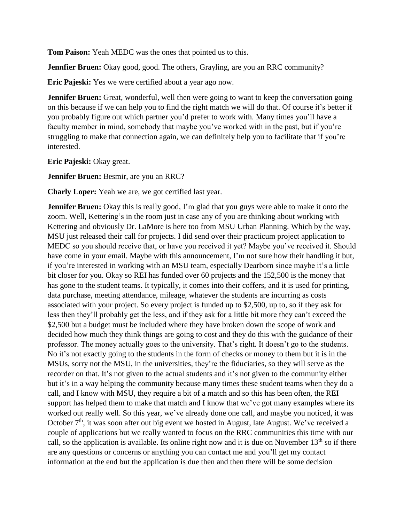**Tom Paison:** Yeah MEDC was the ones that pointed us to this.

**Jennfier Bruen:** Okay good, good. The others, Grayling, are you an RRC community?

**Eric Pajeski:** Yes we were certified about a year ago now.

**Jennifer Bruen:** Great, wonderful, well then were going to want to keep the conversation going on this because if we can help you to find the right match we will do that. Of course it's better if you probably figure out which partner you'd prefer to work with. Many times you'll have a faculty member in mind, somebody that maybe you've worked with in the past, but if you're struggling to make that connection again, we can definitely help you to facilitate that if you're interested.

**Eric Pajeski:** Okay great.

**Jennifer Bruen:** Besmir, are you an RRC?

**Charly Loper:** Yeah we are, we got certified last year.

**Jennifer Bruen:** Okay this is really good, I'm glad that you guys were able to make it onto the zoom. Well, Kettering's in the room just in case any of you are thinking about working with Kettering and obviously Dr. LaMore is here too from MSU Urban Planning. Which by the way, MSU just released their call for projects. I did send over their practicum project application to MEDC so you should receive that, or have you received it yet? Maybe you've received it. Should have come in your email. Maybe with this announcement, I'm not sure how their handling it but, if you're interested in working with an MSU team, especially Dearborn since maybe it's a little bit closer for you. Okay so REI has funded over 60 projects and the 152,500 is the money that has gone to the student teams. It typically, it comes into their coffers, and it is used for printing, data purchase, meeting attendance, mileage, whatever the students are incurring as costs associated with your project. So every project is funded up to \$2,500, up to, so if they ask for less then they'll probably get the less, and if they ask for a little bit more they can't exceed the \$2,500 but a budget must be included where they have broken down the scope of work and decided how much they think things are going to cost and they do this with the guidance of their professor. The money actually goes to the university. That's right. It doesn't go to the students. No it's not exactly going to the students in the form of checks or money to them but it is in the MSUs, sorry not the MSU, in the universities, they're the fiduciaries, so they will serve as the recorder on that. It's not given to the actual students and it's not given to the community either but it's in a way helping the community because many times these student teams when they do a call, and I know with MSU, they require a bit of a match and so this has been often, the REI support has helped them to make that match and I know that we've got many examples where its worked out really well. So this year, we've already done one call, and maybe you noticed, it was October  $7<sup>th</sup>$ , it was soon after out big event we hosted in August, late August. We've received a couple of applications but we really wanted to focus on the RRC communities this time with our call, so the application is available. Its online right now and it is due on November  $13<sup>th</sup>$  so if there are any questions or concerns or anything you can contact me and you'll get my contact information at the end but the application is due then and then there will be some decision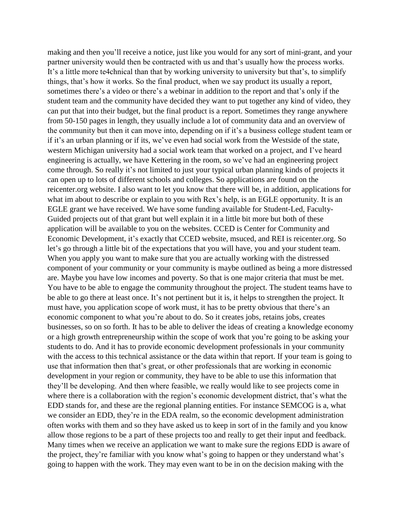making and then you'll receive a notice, just like you would for any sort of mini-grant, and your partner university would then be contracted with us and that's usually how the process works. It's a little more te4chnical than that by working university to university but that's, to simplify things, that's how it works. So the final product, when we say product its usually a report, sometimes there's a video or there's a webinar in addition to the report and that's only if the student team and the community have decided they want to put together any kind of video, they can put that into their budget, but the final product is a report. Sometimes they range anywhere from 50-150 pages in length, they usually include a lot of community data and an overview of the community but then it can move into, depending on if it's a business college student team or if it's an urban planning or if its, we've even had social work from the Westside of the state, western Michigan university had a social work team that worked on a project, and I've heard engineering is actually, we have Kettering in the room, so we've had an engineering project come through. So really it's not limited to just your typical urban planning kinds of projects it can open up to lots of different schools and colleges. So applications are found on the reicenter.org website. I also want to let you know that there will be, in addition, applications for what im about to describe or explain to you with Rex's help, is an EGLE opportunity. It is an EGLE grant we have received. We have some funding available for Student-Led, Faculty-Guided projects out of that grant but well explain it in a little bit more but both of these application will be available to you on the websites. CCED is Center for Community and Economic Development, it's exactly that CCED website, msuced, and REI is reicenter.org. So let's go through a little bit of the expectations that you will have, you and your student team. When you apply you want to make sure that you are actually working with the distressed component of your community or your community is maybe outlined as being a more distressed are. Maybe you have low incomes and poverty. So that is one major criteria that must be met. You have to be able to engage the community throughout the project. The student teams have to be able to go there at least once. It's not pertinent but it is, it helps to strengthen the project. It must have, you application scope of work must, it has to be pretty obvious that there's an economic component to what you're about to do. So it creates jobs, retains jobs, creates businesses, so on so forth. It has to be able to deliver the ideas of creating a knowledge economy or a high growth entrepreneurship within the scope of work that you're going to be asking your students to do. And it has to provide economic development professionals in your community with the access to this technical assistance or the data within that report. If your team is going to use that information then that's great, or other professionals that are working in economic development in your region or community, they have to be able to use this information that they'll be developing. And then where feasible, we really would like to see projects come in where there is a collaboration with the region's economic development district, that's what the EDD stands for, and these are the regional planning entities. For instance SEMCOG is a, what we consider an EDD, they're in the EDA realm, so the economic development administration often works with them and so they have asked us to keep in sort of in the family and you know allow those regions to be a part of these projects too and really to get their input and feedback. Many times when we receive an application we want to make sure the regions EDD is aware of the project, they're familiar with you know what's going to happen or they understand what's going to happen with the work. They may even want to be in on the decision making with the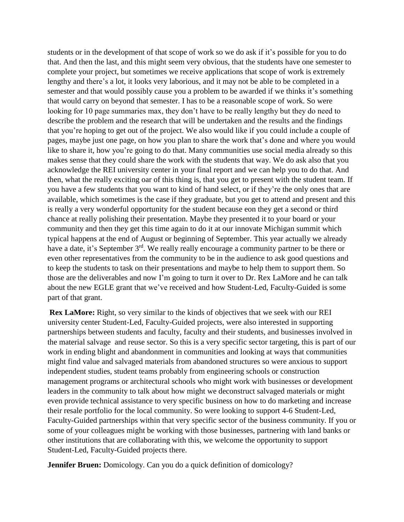students or in the development of that scope of work so we do ask if it's possible for you to do that. And then the last, and this might seem very obvious, that the students have one semester to complete your project, but sometimes we receive applications that scope of work is extremely lengthy and there's a lot, it looks very laborious, and it may not be able to be completed in a semester and that would possibly cause you a problem to be awarded if we thinks it's something that would carry on beyond that semester. I has to be a reasonable scope of work. So were looking for 10 page summaries max, they don't have to be really lengthy but they do need to describe the problem and the research that will be undertaken and the results and the findings that you're hoping to get out of the project. We also would like if you could include a couple of pages, maybe just one page, on how you plan to share the work that's done and where you would like to share it, how you're going to do that. Many communities use social media already so this makes sense that they could share the work with the students that way. We do ask also that you acknowledge the REI university center in your final report and we can help you to do that. And then, what the really exciting oar of this thing is, that you get to present with the student team. If you have a few students that you want to kind of hand select, or if they're the only ones that are available, which sometimes is the case if they graduate, but you get to attend and present and this is really a very wonderful opportunity for the student because eon they get a second or third chance at really polishing their presentation. Maybe they presented it to your board or your community and then they get this time again to do it at our innovate Michigan summit which typical happens at the end of August or beginning of September. This year actually we already have a date, it's September 3<sup>rd</sup>. We really really encourage a community partner to be there or even other representatives from the community to be in the audience to ask good questions and to keep the students to task on their presentations and maybe to help them to support them. So those are the deliverables and now I'm going to turn it over to Dr. Rex LaMore and he can talk about the new EGLE grant that we've received and how Student-Led, Faculty-Guided is some part of that grant.

**Rex LaMore:** Right, so very similar to the kinds of objectives that we seek with our REI university center Student-Led, Faculty-Guided projects, were also interested in supporting partnerships between students and faculty, faculty and their students, and businesses involved in the material salvage and reuse sector. So this is a very specific sector targeting, this is part of our work in ending blight and abandonment in communities and looking at ways that communities might find value and salvaged materials from abandoned structures so were anxious to support independent studies, student teams probably from engineering schools or construction management programs or architectural schools who might work with businesses or development leaders in the community to talk about how might we deconstruct salvaged materials or might even provide technical assistance to very specific business on how to do marketing and increase their resale portfolio for the local community. So were looking to support 4-6 Student-Led, Faculty-Guided partnerships within that very specific sector of the business community. If you or some of your colleagues might be working with those businesses, partnering with land banks or other institutions that are collaborating with this, we welcome the opportunity to support Student-Led, Faculty-Guided projects there.

**Jennifer Bruen:** Domicology. Can you do a quick definition of domicology?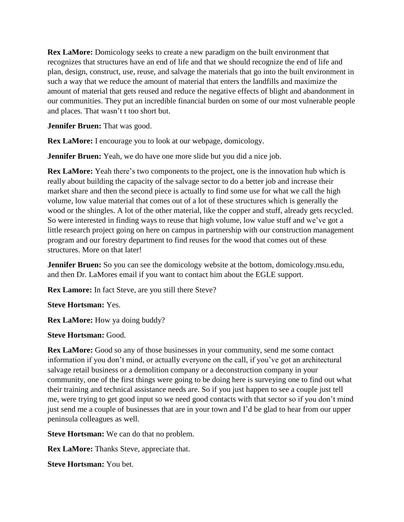**Rex LaMore:** Domicology seeks to create a new paradigm on the built environment that recognizes that structures have an end of life and that we should recognize the end of life and plan, design, construct, use, reuse, and salvage the materials that go into the built environment in such a way that we reduce the amount of material that enters the landfills and maximize the amount of material that gets reused and reduce the negative effects of blight and abandonment in our communities. They put an incredible financial burden on some of our most vulnerable people and places. That wasn't t too short but.

**Jennifer Bruen:** That was good.

**Rex LaMore:** I encourage you to look at our webpage, domicology.

**Jennifer Bruen:** Yeah, we do have one more slide but you did a nice job.

**Rex LaMore:** Yeah there's two components to the project, one is the innovation hub which is really about building the capacity of the salvage sector to do a better job and increase their market share and then the second piece is actually to find some use for what we call the high volume, low value material that comes out of a lot of these structures which is generally the wood or the shingles. A lot of the other material, like the copper and stuff, already gets recycled. So were interested in finding ways to reuse that high volume, low value stuff and we've got a little research project going on here on campus in partnership with our construction management program and our forestry department to find reuses for the wood that comes out of these structures. More on that later!

**Jennifer Bruen:** So you can see the domicology website at the bottom, domicology.msu.edu, and then Dr. LaMores email if you want to contact him about the EGLE support.

**Rex Lamore:** In fact Steve, are you still there Steve?

**Steve Hortsman:** Yes.

**Rex LaMore:** How ya doing buddy?

**Steve Hortsman:** Good.

**Rex LaMore:** Good so any of those businesses in your community, send me some contact information if you don't mind, or actually everyone on the call, if you've got an architectural salvage retail business or a demolition company or a deconstruction company in your community, one of the first things were going to be doing here is surveying one to find out what their training and technical assistance needs are. So if you just happen to see a couple just tell me, were trying to get good input so we need good contacts with that sector so if you don't mind just send me a couple of businesses that are in your town and I'd be glad to hear from our upper peninsula colleagues as well.

**Steve Hortsman:** We can do that no problem.

**Rex LaMore:** Thanks Steve, appreciate that.

**Steve Hortsman:** You bet.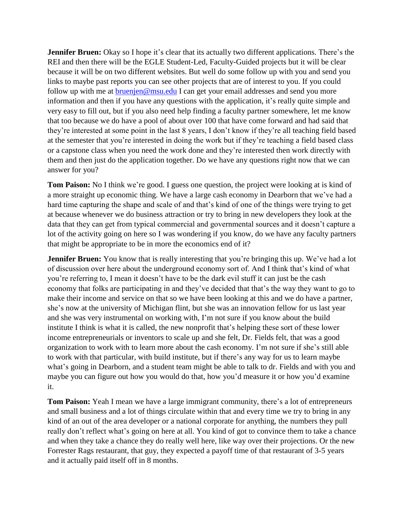**Jennifer Bruen:** Okay so I hope it's clear that its actually two different applications. There's the REI and then there will be the EGLE Student-Led, Faculty-Guided projects but it will be clear because it will be on two different websites. But well do some follow up with you and send you links to maybe past reports you can see other projects that are of interest to you. If you could follow up with me at [bruenjen@msu.edu](mailto:bruenjen@msu.edu) I can get your email addresses and send you more information and then if you have any questions with the application, it's really quite simple and very easy to fill out, but if you also need help finding a faculty partner somewhere, let me know that too because we do have a pool of about over 100 that have come forward and had said that they're interested at some point in the last 8 years, I don't know if they're all teaching field based at the semester that you're interested in doing the work but if they're teaching a field based class or a capstone class when you need the work done and they're interested then work directly with them and then just do the application together. Do we have any questions right now that we can answer for you?

**Tom Paison:** No I think we're good. I guess one question, the project were looking at is kind of a more straight up economic thing. We have a large cash economy in Dearborn that we've had a hard time capturing the shape and scale of and that's kind of one of the things were trying to get at because whenever we do business attraction or try to bring in new developers they look at the data that they can get from typical commercial and governmental sources and it doesn't capture a lot of the activity going on here so I was wondering if you know, do we have any faculty partners that might be appropriate to be in more the economics end of it?

**Jennifer Bruen:** You know that is really interesting that you're bringing this up. We've had a lot of discussion over here about the underground economy sort of. And I think that's kind of what you're referring to, I mean it doesn't have to be the dark evil stuff it can just be the cash economy that folks are participating in and they've decided that that's the way they want to go to make their income and service on that so we have been looking at this and we do have a partner, she's now at the university of Michigan flint, but she was an innovation fellow for us last year and she was very instrumental on working with, I'm not sure if you know about the build institute I think is what it is called, the new nonprofit that's helping these sort of these lower income entrepreneurials or inventors to scale up and she felt, Dr. Fields felt, that was a good organization to work with to learn more about the cash economy. I'm not sure if she's still able to work with that particular, with build institute, but if there's any way for us to learn maybe what's going in Dearborn, and a student team might be able to talk to dr. Fields and with you and maybe you can figure out how you would do that, how you'd measure it or how you'd examine it.

**Tom Paison:** Yeah I mean we have a large immigrant community, there's a lot of entrepreneurs and small business and a lot of things circulate within that and every time we try to bring in any kind of an out of the area developer or a national corporate for anything, the numbers they pull really don't reflect what's going on here at all. You kind of got to convince them to take a chance and when they take a chance they do really well here, like way over their projections. Or the new Forrester Rags restaurant, that guy, they expected a payoff time of that restaurant of 3-5 years and it actually paid itself off in 8 months.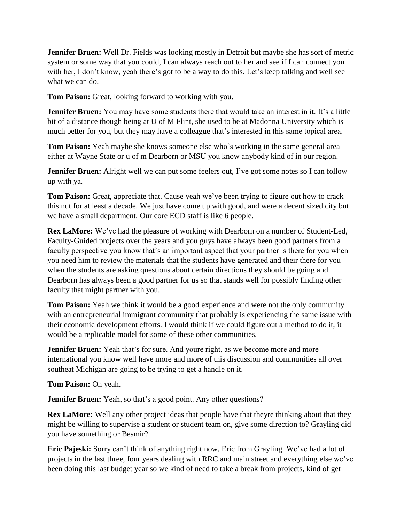**Jennifer Bruen:** Well Dr. Fields was looking mostly in Detroit but maybe she has sort of metric system or some way that you could, I can always reach out to her and see if I can connect you with her, I don't know, yeah there's got to be a way to do this. Let's keep talking and well see what we can do.

**Tom Paison:** Great, looking forward to working with you.

**Jennifer Bruen:** You may have some students there that would take an interest in it. It's a little bit of a distance though being at U of M Flint, she used to be at Madonna University which is much better for you, but they may have a colleague that's interested in this same topical area.

**Tom Paison:** Yeah maybe she knows someone else who's working in the same general area either at Wayne State or u of m Dearborn or MSU you know anybody kind of in our region.

**Jennifer Bruen:** Alright well we can put some feelers out, I've got some notes so I can follow up with ya.

**Tom Paison:** Great, appreciate that. Cause yeah we've been trying to figure out how to crack this nut for at least a decade. We just have come up with good, and were a decent sized city but we have a small department. Our core ECD staff is like 6 people.

**Rex LaMore:** We've had the pleasure of working with Dearborn on a number of Student-Led, Faculty-Guided projects over the years and you guys have always been good partners from a faculty perspective you know that's an important aspect that your partner is there for you when you need him to review the materials that the students have generated and their there for you when the students are asking questions about certain directions they should be going and Dearborn has always been a good partner for us so that stands well for possibly finding other faculty that might partner with you.

**Tom Paison:** Yeah we think it would be a good experience and were not the only community with an entrepreneurial immigrant community that probably is experiencing the same issue with their economic development efforts. I would think if we could figure out a method to do it, it would be a replicable model for some of these other communities.

**Jennifer Bruen:** Yeah that's for sure. And youre right, as we become more and more international you know well have more and more of this discussion and communities all over southeat Michigan are going to be trying to get a handle on it.

**Tom Paison:** Oh yeah.

**Jennifer Bruen:** Yeah, so that's a good point. Any other questions?

**Rex LaMore:** Well any other project ideas that people have that theyre thinking about that they might be willing to supervise a student or student team on, give some direction to? Grayling did you have something or Besmir?

**Eric Pajeski:** Sorry can't think of anything right now, Eric from Grayling. We've had a lot of projects in the last three, four years dealing with RRC and main street and everything else we've been doing this last budget year so we kind of need to take a break from projects, kind of get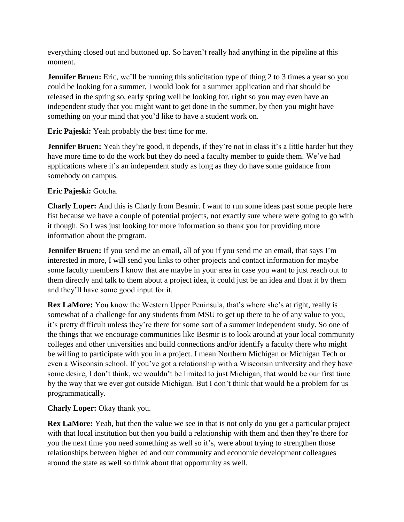everything closed out and buttoned up. So haven't really had anything in the pipeline at this moment.

**Jennifer Bruen:** Eric, we'll be running this solicitation type of thing 2 to 3 times a year so you could be looking for a summer, I would look for a summer application and that should be released in the spring so, early spring well be looking for, right so you may even have an independent study that you might want to get done in the summer, by then you might have something on your mind that you'd like to have a student work on.

**Eric Pajeski:** Yeah probably the best time for me.

**Jennifer Bruen:** Yeah they're good, it depends, if they're not in class it's a little harder but they have more time to do the work but they do need a faculty member to guide them. We've had applications where it's an independent study as long as they do have some guidance from somebody on campus.

## **Eric Pajeski:** Gotcha.

**Charly Loper:** And this is Charly from Besmir. I want to run some ideas past some people here fist because we have a couple of potential projects, not exactly sure where were going to go with it though. So I was just looking for more information so thank you for providing more information about the program.

**Jennifer Bruen:** If you send me an email, all of you if you send me an email, that says I'm interested in more, I will send you links to other projects and contact information for maybe some faculty members I know that are maybe in your area in case you want to just reach out to them directly and talk to them about a project idea, it could just be an idea and float it by them and they'll have some good input for it.

**Rex LaMore:** You know the Western Upper Peninsula, that's where she's at right, really is somewhat of a challenge for any students from MSU to get up there to be of any value to you, it's pretty difficult unless they're there for some sort of a summer independent study. So one of the things that we encourage communities like Besmir is to look around at your local community colleges and other universities and build connections and/or identify a faculty there who might be willing to participate with you in a project. I mean Northern Michigan or Michigan Tech or even a Wisconsin school. If you've got a relationship with a Wisconsin university and they have some desire, I don't think, we wouldn't be limited to just Michigan, that would be our first time by the way that we ever got outside Michigan. But I don't think that would be a problem for us programmatically.

## **Charly Loper:** Okay thank you.

**Rex LaMore:** Yeah, but then the value we see in that is not only do you get a particular project with that local institution but then you build a relationship with them and then they're there for you the next time you need something as well so it's, were about trying to strengthen those relationships between higher ed and our community and economic development colleagues around the state as well so think about that opportunity as well.